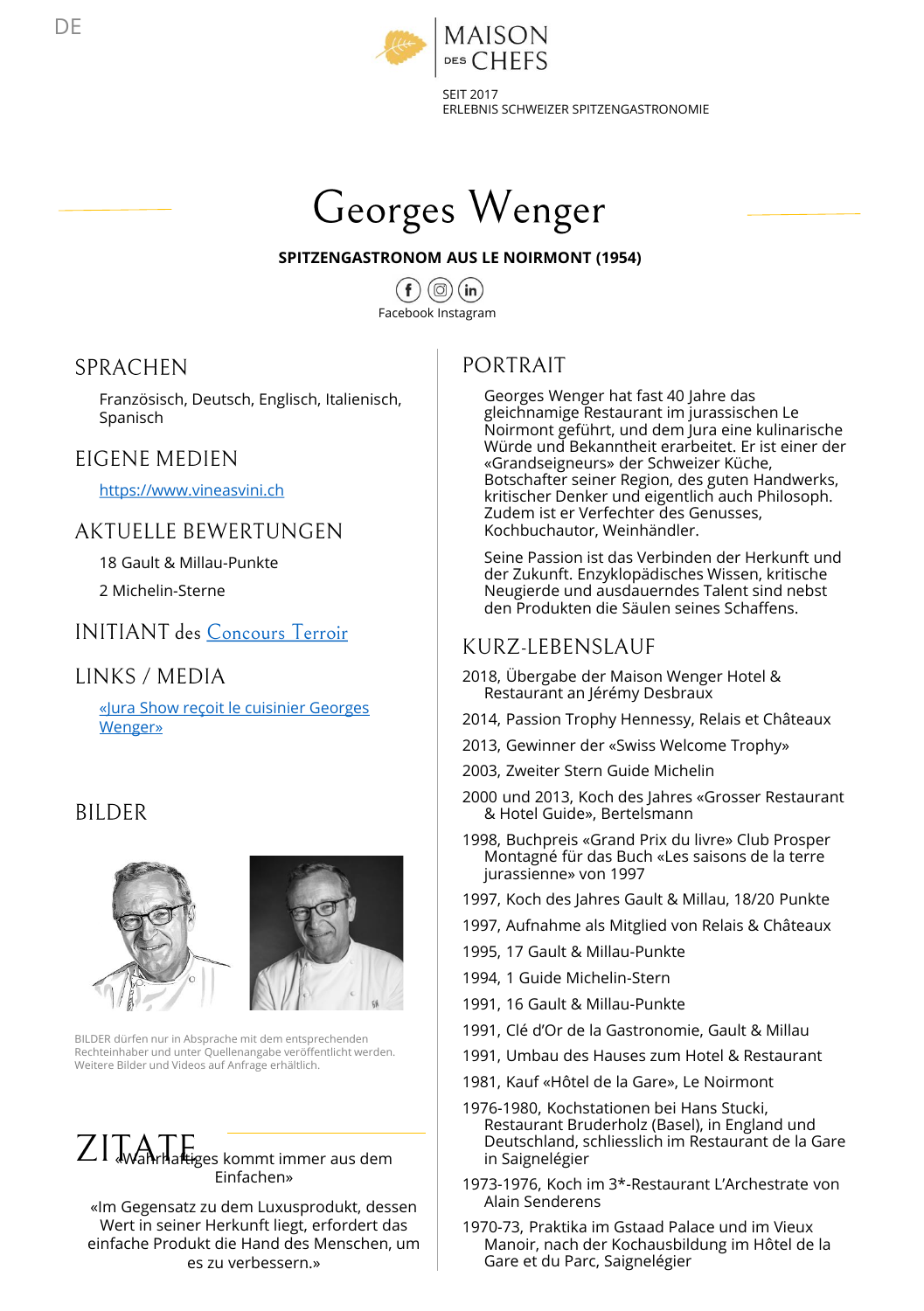

ERLEBNIS SCHWEIZER SPITZENGASTRONOMIE



#### **SPITZENGASTRONOM AUS LE NOIRMONT (1954)**

 $(in)$ Facebook Instagram

#### **SPRACHEN**

Französisch, Deutsch, Englisch, Italienisch, Spanisch

#### EIGENE MEDIEN

[https://www.vineasvini.ch](https://www.vineasvini.ch/)

#### **AKTUELLE BEWERTUNGEN**

18 Gault & Millau-Punkte

2 Michelin-Sterne

**INITIANT** des Concours Terroir

#### **LINKS / MEDIA**

[«Jura Show reçoit le cuisinier Georges](http://www.canalalpha.ch/emissions/jurashow/jura-show-le-jura-show-recoit-le-cuisinier-georges-wenger-a-sa-table/) Wenger»

#### **BILDER**





BILDER dürfen nur in Absprache mit dem entsprechenden Rechteinhaber und unter Quellenangabe veröffentlicht werden. Weitere Bilder und Videos auf Anfrage erhältlich.

# $ZI$  **Wahrhaftiges kommt immer aus dem** Einfachen»

«Im Gegensatz zu dem Luxusprodukt, dessen Wert in seiner Herkunft liegt, erfordert das einfache Produkt die Hand des Menschen, um es zu verbessern.»

# PORTRAIT

Georges Wenger hat fast 40 Jahre das gleichnamige Restaurant im jurassischen Le Noirmont geführt, und dem Jura eine kulinarische Würde und Bekanntheit erarbeitet. Er ist einer der «Grandseigneurs» der Schweizer Küche, Botschafter seiner Region, des guten Handwerks, kritischer Denker und eigentlich auch Philosoph. Zudem ist er Verfechter des Genusses, Kochbuchautor, Weinhändler.

Seine Passion ist das Verbinden der Herkunft und der Zukunft. Enzyklopädisches Wissen, kritische Neugierde und ausdauerndes Talent sind nebst den Produkten die Säulen seines Schaffens.

#### KURZ-LEBENSLAUF

- 2018, Übergabe der Maison Wenger Hotel & Restaurant an Jérémy Desbraux
- 2014, Passion Trophy Hennessy, Relais et Châteaux
- 2013, Gewinner der «Swiss Welcome Trophy»
- 2003, Zweiter Stern Guide Michelin
- 2000 und 2013, Koch des Jahres «Grosser Restaurant & Hotel Guide», Bertelsmann
- 1998, Buchpreis «Grand Prix du livre» Club Prosper Montagné für das Buch «Les saisons de la terre jurassienne» von 1997
- 1997, Koch des Jahres Gault & Millau, 18/20 Punkte
- 1997, Aufnahme als Mitglied von Relais & Châteaux
- 1995, 17 Gault & Millau-Punkte
- 1994, 1 Guide Michelin-Stern
- 1991, 16 Gault & Millau-Punkte
- 1991, Clé d'Or de la Gastronomie, Gault & Millau
- 1991, Umbau des Hauses zum Hotel & Restaurant
- 1981, Kauf «Hôtel de la Gare», Le Noirmont
- 1976-1980, Kochstationen bei Hans Stucki, Restaurant Bruderholz (Basel), in England und Deutschland, schliesslich im Restaurant de la Gare in Saignelégier
- 1973-1976, Koch im 3\*-Restaurant L'Archestrate von Alain Senderens
- 1970-73, Praktika im Gstaad Palace und im Vieux Manoir, nach der Kochausbildung im Hôtel de la Gare et du Parc, Saignelégier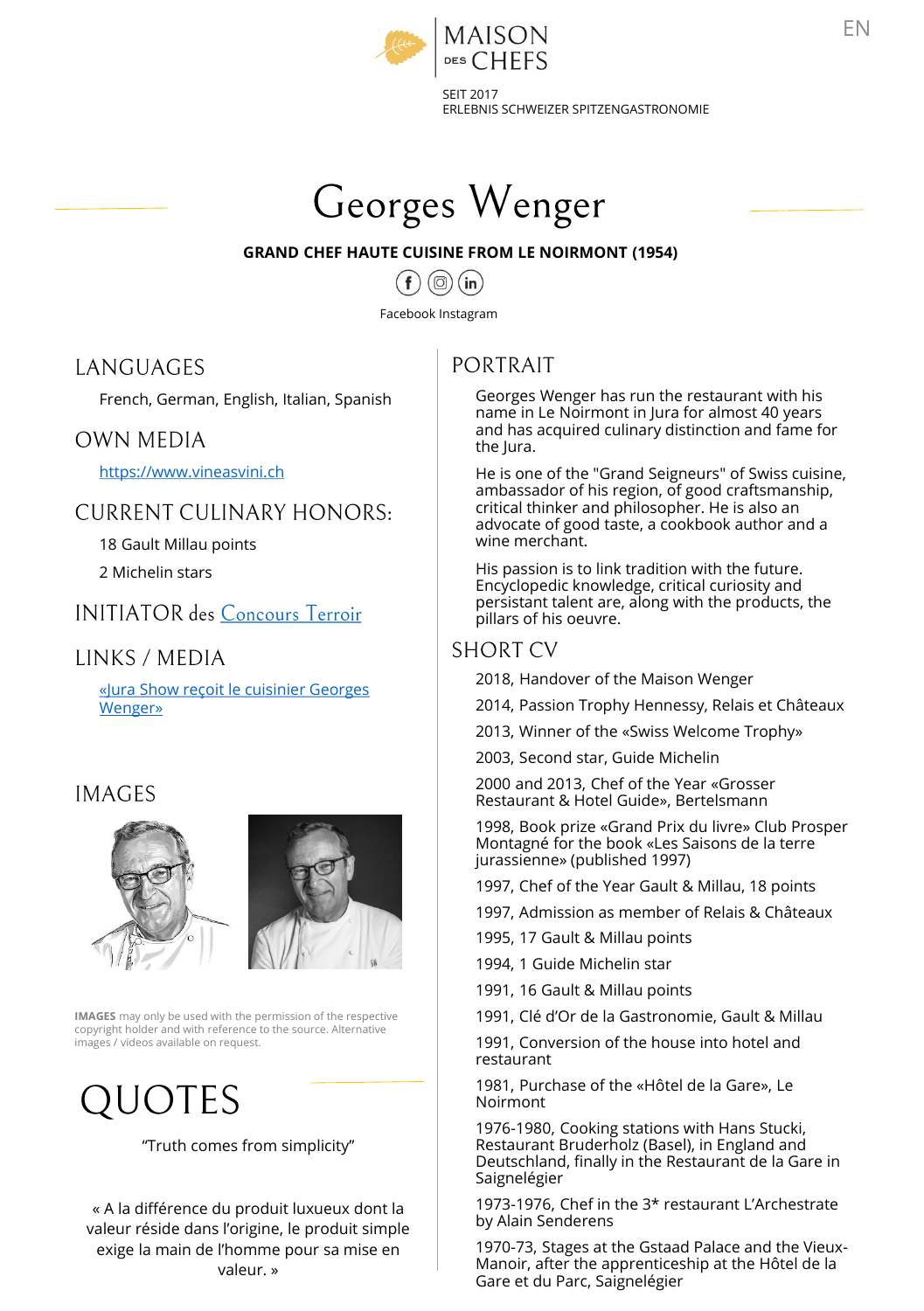

SEIT 2017 ERLEBNIS SCHWEIZER SPITZENGASTRONOMIE



#### **GRAND CHEF HAUTE CUISINE FROM LE NOIRMONT (1954)**

 $(in)$  $(\circledcirc)$ 

Facebook Instagram

#### **LANGUAGES**

French, German, English, Italian, Spanish

#### **OWN MEDIA**

[https://www.vineasvini.ch](https://www.vineasvini.ch/)

#### **CURRENT CULINARY HONORS:**

18 Gault Millau points

2 Michelin stars

#### **INITIATOR** des Concours Terroir

#### LINKS / MEDIA

[«Jura Show reçoit le cuisinier Georges](http://www.canalalpha.ch/emissions/jurashow/jura-show-le-jura-show-recoit-le-cuisinier-georges-wenger-a-sa-table/) Wenger»

#### **IMAGES**





**IMAGES** may only be used with the permission of the respective copyright holder and with reference to the source. Alternative images / videos available on request.

# QUOTES

#### "Truth comes from simplicity"

« A la différence du produit luxueux dont la valeur réside dans l'origine, le produit simple exige la main de l'homme pour sa mise en valeur. »

# PORTRAIT

Georges Wenger has run the restaurant with his name in Le Noirmont in Jura for almost 40 years and has acquired culinary distinction and fame for the Jura.

He is one of the "Grand Seigneurs" of Swiss cuisine, ambassador of his region, of good craftsmanship, critical thinker and philosopher. He is also an advocate of good taste, a cookbook author and a wine merchant.

His passion is to link tradition with the future. Encyclopedic knowledge, critical curiosity and persistant talent are, along with the products, the pillars of his oeuvre.

#### **SHORT CV**

2018, Handover of the Maison Wenger

2014, Passion Trophy Hennessy, Relais et Châteaux

2013, Winner of the «Swiss Welcome Trophy»

2003, Second star, Guide Michelin

2000 and 2013, Chef of the Year «Grosser Restaurant & Hotel Guide», Bertelsmann

1998, Book prize «Grand Prix du livre» Club Prosper Montagné for the book «Les Saisons de la terre jurassienne» (published 1997)

1997, Chef of the Year Gault & Millau, 18 points

- 1997, Admission as member of Relais & Châteaux
- 1995, 17 Gault & Millau points
- 1994, 1 Guide Michelin star
- 1991, 16 Gault & Millau points
- 1991, Clé d'Or de la Gastronomie, Gault & Millau

1991, Conversion of the house into hotel and restaurant

1981, Purchase of the «Hôtel de la Gare», Le Noirmont

1976-1980, Cooking stations with Hans Stucki, Restaurant Bruderholz (Basel), in England and Deutschland, finally in the Restaurant de la Gare in Saignelégier

1973-1976, Chef in the 3\* restaurant L'Archestrate by Alain Senderens

1970-73, Stages at the Gstaad Palace and the Vieux-Manoir, after the apprenticeship at the Hôtel de la Gare et du Parc, Saignelégier